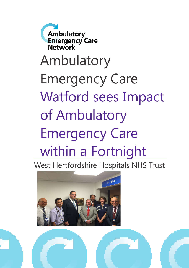**Ambulatory Emergency Care Network** Ambulatory Emergency Care Watford sees Impact of Ambulatory Emergency Care within a Fortnight

West Hertfordshire Hospitals NHS Trust

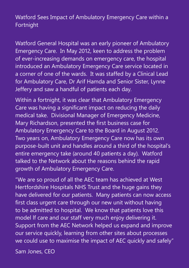Watford Sees Impact of Ambulatory Emergency Care within a Fortnight

Watford General Hospital was an early pioneer of Ambulatory Emergency Care. In May 2012, keen to address the problem of ever-increasing demands on emergency care, the hospital introduced an Ambulatory Emergency Care service located in a corner of one of the wards. It was staffed by a Clinical Lead for Ambulatory Care, Dr Arif Hamda and Senior Sister, Lynne Jeffery and saw a handful of patients each day.

Within a fortnight, it was clear that Ambulatory Emergency Care was having a significant impact on reducing the daily medical take. Divisional Manager of Emergency Medicine, Mary Richardson, presented the first business case for Ambulatory Emergency Care to the Board in August 2012. Two years on, Ambulatory Emergency Care now has its own purpose-built unit and handles around a third of the hospital's entire emergency take (around 40 patients a day). Watford talked to the Network about the reasons behind the rapid growth of Ambulatory Emergency Care.

"We are so proud of all the AEC team has achieved at West Hertfordshire Hospitals NHS Trust and the huge gains they have delivered for our patients. Many patients can now access first class urgent care through our new unit without having to be admitted to hospital. We know that patients love this model lf care and our staff very much enjoy delivering it. Support from the AEC Network helped us expand and improve our service quickly, learning from other sites about processes we could use to maximise the impact of AEC quickly and safely"

Sam Jones, CEO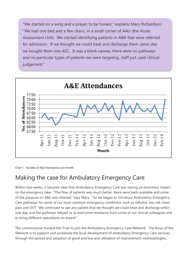"We started on a wing and a prayer, to be honest," explains Mary Richardson. "We had one bed and a few chairs, in a small corner of AAU (the Acute Assessment Unit). We started identifying patients in A&E that were referred for admission. If we thought we could treat and discharge them same-day we bought them into AEC. It was a blank canvas; there were no pathways and no particular types of patients we were targeting, staff just used clinical judgement."



Chart 1 - Number of A&E Attendances per month

# Making the case for Ambulatory Emergency Care

Within two weeks, it became clear that Ambulatory Emergency Care was having an enormous impact on the emergency take. "The flow of patients was much better, there were beds available and some of the pressure on A&E was relieved," says Mary. "So we began to introduce Ambulatory Emergency Care pathways for some of our most common emergency conditions, such as cellulitis, low risk chest pain and DVT. We continued to see any patient that we thought we could treat and discharge within one day, and the pathways helped us to overcome resistance from some of our clinical colleagues and to bring different specialisms on board."

The commissioner funded the Trust to join the Ambulatory Emergency Care Network. The focus of the Network is to support and accelerate the local development of Ambulatory Emergency Care services through the spread and adoption of good practice and utilisation of improvement methodologies.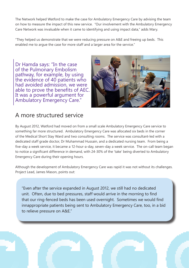The Network helped Watford to make the case for Ambulatory Emergency Care by advising the team on how to measure the impact of this new service. "Our involvement with the Ambulatory Emergency Care Network was invaluable when it came to identifying and using impact data," adds Mary.

"They helped us demonstrate that we were reducing pressure on A&E and freeing up beds. This enabled me to argue the case for more staff and a larger area for the service."

Dr Hamda says: "In the case of the Pulmonary Embolism pathway, for example, by using the evidence of 40 patients who had avoided admission, we were able to prove the benefits of AEC. It was a powerful argument for Ambulatory Emergency Care."



#### A more structured service

By August 2012, Watford had moved on from a small scale Ambulatory Emergency Care service to something far more structured. Ambulatory Emergency Care was allocated six beds in the corner of the Medical Short Stay Ward and two consulting rooms. The service was consultant-led with a dedicated staff grade doctor, Dr Muhammad Hussain, and a dedicated nursing team. From being a five-day a week service, it became a 12-hour-a-day, seven-day a week service. The on-call team began to notice a significant difference in demand, with 24-30% of the 'take' being diverted to Ambulatory Emergency Care during their opening hours.

Although the development of Ambulatory Emergency Care was rapid it was not without its challenges. Project Lead, James Mason, points out:

"Even after the service expanded in August 2012, we still had no dedicated unit. Often, due to bed pressures, staff would arrive in the morning to find that our ring-fenced beds has been used overnight. Sometimes we would find innappropriate patients being sent to Ambulatory Emergency Care, too, in a bid to relieve pressure on A&E."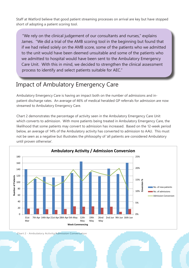Staff at Watford believe that good patient streaming processes on arrival are key but have stopped short of adopting a patient scoring tool.

"We rely on the clinical judgement of our consultants and nurses," explains James. "We did a trial of the AMB scoring tool in the beginning but found that if we had relied solely on the AMB score, some of the patients who we admitted to the unit would have been deemed unsuitable and some of the patients who we admitted to hospital would have been sent to the Ambulatory Emergency Care Unit. With this in mind, we decided to strengthen the clinical assessment process to identify and select patients suitable for AEC."

### Impact of Ambulatory Emergency Care

Ambulatory Emergency Care is having an impact both on the number of admissions and inpatient discharge rates. An average of 46% of medical heralded GP referrals for admission are now streamed to Ambulatory Emergency Care.

Chart 2 demonstrates the percentage of activity seen in the Ambulatory Emergency Care Unit which converts to admission. With more patients being treated in Ambulatory Emergency Care, the likelihood that some patients may convert to admission has increased. Based on the 12-week period below, an average of 14% of the Ambulatory activity has converted to admission to AAU. This must not be seen as a negative but illustrates the philosophy of 'all patients are considered Ambulatory until proven otherwise'.



Chart 2 - Ambulatory Activity/Admission Conversation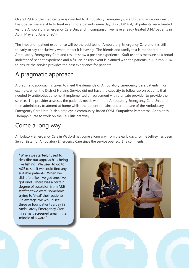Overall 29% of the medical take is diverted to Ambulatory Emergency Care Unit and since our new unit has opened we are able to treat even more patients same day. In 2013/14, 4,120 patients were treated via the Ambulatory Emergency Care Unit and in comparison we have already treated 3,147 patients in April, May and June of 2014.

The impact on patient experience will be the acid test of Ambulatory Emergency Care and it is still to early to say conclusively what impact it is having. The friends and family test is monitored in Ambulatory Emergency Care and results show a positive experience. Staff use this measure as a broad indicator of patient experience and a full co-design event is planned with the patients in Autumn 2014 to ensure the service provides the best experience for patients.

# A pragmatic approach

A pragmatic approach is taken to meet the demands of Ambulatory Emergency Care patients. For example, when the District Nursing Service did not have the capacity to follow-up on patients that needed IV antibiotics at home, it implemented an agreement with a private provider to provide the service. The provider assesses the patient's needs within the Ambulatory Emergency Care Unit and then administers treatment at home whilst the patient remains under the care of the Ambulatory Emergency Care Unit. It also employs a community-based OPAT (Outpatient Parenternal Antibiotics Therapy) nurse to work on the Cellulitis pathway.

# Come a long way

Ambulatory Emergency Care in Watford has come a long way from the early days. Lynne Jeffrey has been Senior Sister for Ambulatory Emergency Care since the service opened. She comments:

"When we started, I used to describe our approach as being like fishing. We used to go to A&E to see if we could find any suitable patients. When we did it felt like 'I've got one, I've got one!' There was a certain degree of suspicion from A&E staff that we were, somehow, trying to 'steal' their patients. On average, we would see three or four patients a day in Ambulatory Emergency Care in a small, screened area in the middle of a ward."

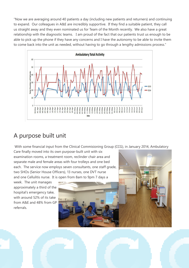"Now we are averaging around 40 patients a day (including new patients and returners) and continuing to expand. Our colleagues in A&E are incredibly supportive. If they find a suitable patient, they call us straight away and they even nominated us for Team of the Month recently. We also have a great relationship with the diagnostic teams. I am proud of the fact that our patients trust us enough to be able to pick up the phone if they have any concerns and I have the autonomy to be able to invite them to come back into the unit as needed, without having to go through a lengthy admissions process."



# A purpose built unit

With some financial input from the Clinical Commisioning Group (CCG), in January 2014, Ambulatory

Care finally moved into its own purpose-built unit with six examination rooms, a treatment room, reclinder chair area and separate male and female areas with four trolleys and one bed each. The service now employs seven consultants, one staff grade, two SHOs (Senior House Officers), 13 nurses, one DVT nurse and one Cellulitis nurse. It is open from 8am to 9pm 7 days a

week. The unit manages approximately a third of the hospital's emergency take, with around 52% of its take from A&E and 48% from GP referrals.

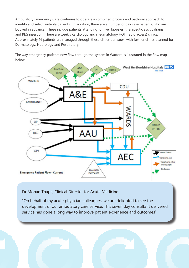Ambulatory Emergency Care continues to operate a combined process and pathway approach to identify and select suitable patients. In addition, there are a number of day case patients, who are booked in advance. These include patients attending for liver biopsies, therapeutic ascitic drains and PEG insertion. There are weekly cardiology and rheumatology HOT (rapid access) clinics. Approximately 16 patients are managed through these clinics per week, with further clinics planned for Dermatology, Neurology and Respiratory.

The way emergency patients now flow through the system in Watford is illustrated in the flow map below.



#### Dr Mohan Thapa, Clinical Director for Acute Medicine

"On behalf of my acute physician colleagues, we are delighted to see the development of our ambulatory care service. This seven day consultant delivered service has gone a long way to improve patient experience and outcomes"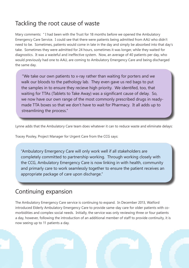# Tackling the root cause of waste

Mary comments: " I had been with the Trust for 18 months before we opened the Ambulatory Emergency Care Service. I could see that there were patients being admitted from AAU who didn't need to be. Sometimes, patients would come in late in the day and simply be absorbed into that day's take. Sometimes they were admitted for 24 hours, sometimes it was longer, while they waited for diagnostics. It was a wasteful and ineffective system. Now, an average of 40 patients per day, who would previously had one to AAU, are coming to Ambulatory Emergency Care and being discharged the same day.

"We take our own patients to x-ray rather than waiting for porters and we walk our bloods to the pathology lab. They even gave us red bags to put the samples in to ensure they recieve high priority. We identifed, too, that waiting for TTAs (Tablets to Take Away) was a significant cause of delay. So, we now have our own range of the most commonly prescribed drugs in readymade TTA boxes so that we don't have to wait for Pharmacy. It all adds up to streamlining the process."

Lynne adds that the Ambulatory Care team does whatever it can to reduce waste and eliminate delays:

Tracey Pooley, Project Manager for Urgent Care from the CCG says:

"Ambulatory Emergency Care will only work well if all stakeholders are completely committed to partnership working. Through working closely with the CCG, Ambulatory Emergency Care is now linking in with health, community and primarly care to work seamlessly together to ensure the patient receives an appropriate package of care upon discharge."

#### Continuing expansion

The Ambulatory Emergency Care service is continuing to expand. In December 2013, Watford introduced Elderly Ambulatory Emergency Care to provide same-day care for older patients with comorbidities and complex social needs. Initially, the service was only reviewing three or four patients a day, however, following the introduction of an additional member of staff to provide continuity, it is now seeing up to 11 patients a day.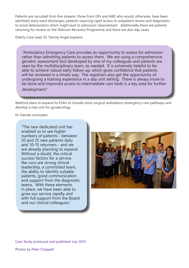Patients are recruited from five streams: those from GPs and A&E who would, otherwise, have been admitted; early ward discharges; patients requiring rapid access to outpatient review and diagnostics to avoid deterioration which might lead to admission 'downstream'. Additionally there are patients returning for review on the Delirium Recovery Programme and there are also day cases.

Elderly Care Lead, Dr Tammy Angel explains:

"Ambulatory Emergency Care provides an opportunity to assess for admission rather than admitting patients to assess them. We are using a comprehensive geriatric assessment tool developed by one of my colleagues and patients are seen by the multidisciplinary team, as needed. It is extremely helpful to be able to achieve robust early follow-up, which gives confidence that patients will be reviewed in a timely way. The registrars also get the opportunity of undergoing a training experience in a day unit setting. There is always more to be done and improved access to intermediate care beds is a key area for further development."

Watford plans to expand its ESAU to include more surgical ambulatory emergency care pathways and develop a new unit for gynaecology.

Dr Hamda concludes:

"The new dedicated unit has enabled us to see higher numbers of patients - between 20 and 25 new patients daily and 10-15 returners - and we are already planning to expand. Without a doubt, the critical success factors for a service like ours are strong clinical leadership, a committed team, the ability to identify suitable patients, good communication and support from the diagnostic teams. With these elements in place, we have been able to grow our service rapidly and with full support from the Board and our clinical colleagues."



Case Study produced and published July 2014

Photos by Peter Chappell